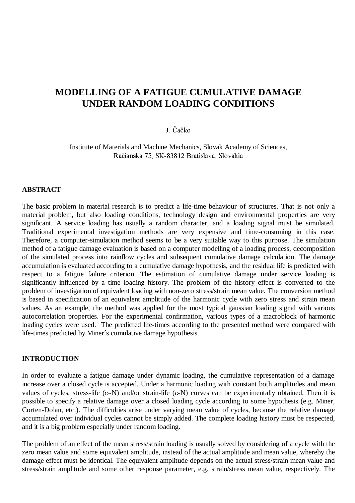# **MODELLING OF A FATIGUE CUMULATIVE DAMAGE UNDER RANDOM LOADING CONDITIONS**

## I Čačko

Institute of Materials and Machine Mechanics, Slovak Academy of Sciences, Račianska 75, SK-83812 Bratislava, Slovakia

### **ABSTRACT**

The basic problem in material research is to predict a life-time behaviour of structures. That is not only a material problem, but also loading conditions, technology design and environmental properties are very significant. A service loading has usually a random character, and a loading signal must be simulated. Traditional experimental investigation methods are very expensive and time-consuming in this case. Therefore, a computer-simulation method seems to be a very suitable way to this purpose. The simulation method of a fatigue damage evaluation is based on a computer modelling of a loading process, decomposition of the simulated process into rainflow cycles and subsequent cumulative damage calculation. The damage accumulation is evaluated according to a cumulative damage hypothesis, and the residual life is predicted with respect to a fatigue failure criterion. The estimation of cumulative damage under service loading is significantly influenced by a time loading history. The problem of the history effect is converted to the problem of investigation of equivalent loading with non-zero stress/strain mean value. The conversion method is based in specification of an equivalent amplitude of the harmonic cycle with zero stress and strain mean values. As an example, the method was applied for the most typical gaussian loading signal with various autocorrelation properties. For the experimental confirmation, various types of a macroblock of harmonic loading cycles were used. The predicted life-times according to the presented method were compared with life-times predicted by Miner´s cumulative damage hypothesis.

#### **INTRODUCTION**

In order to evaluate a fatigue damage under dynamic loading, the cumulative representation of a damage increase over a closed cycle is accepted. Under a harmonic loading with constant both amplitudes and mean values of cycles, stress-life ( $\sigma$ -N) and/or strain-life ( $\epsilon$ -N) curves can be experimentally obtained. Then it is possible to specify a relative damage over a closed loading cycle according to some hypothesis (e.g. Miner, Corten-Dolan, etc.). The difficulties arise under varying mean value of cycles, because the relative damage accumulated over individual cycles cannot be simply added. The complete loading history must be respected, and it is a big problem especially under random loading.

The problem of an effect of the mean stress/strain loading is usually solved by considering of a cycle with the zero mean value and some equivalent amplitude, instead of the actual amplitude and mean value, whereby the damage effect must be identical. The equivalent amplitude depends on the actual stress/strain mean value and stress/strain amplitude and some other response parameter, e.g. strain/stress mean value, respectively. The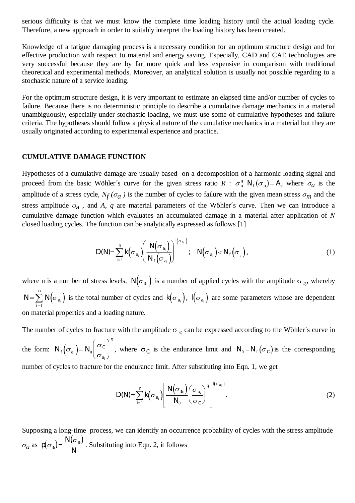serious difficulty is that we must know the complete time loading history until the actual loading cycle. Therefore, a new approach in order to suitably interpret the loading history has been created.

Knowledge of a fatigue damaging process is a necessary condition for an optimum structure design and for effective production with respect to material and energy saving. Especially, CAD and CAE technologies are very successful because they are by far more quick and less expensive in comparison with traditional theoretical and experimental methods. Moreover, an analytical solution is usually not possible regarding to a stochastic nature of a service loading.

For the optimum structure design, it is very important to estimate an elapsed time and/or number of cycles to failure. Because there is no deterministic principle to describe a cumulative damage mechanics in a material unambiguously, especially under stochastic loading, we must use some of cumulative hypotheses and failure criteria. The hypotheses should follow a physical nature of the cumulative mechanics in a material but they are usually originated according to experimental experience and practice.

#### **CUMULATIVE DAMAGE FUNCTION**

Hypotheses of a cumulative damage are usually based on a decomposition of a harmonic loading signal and proceed from the basic Wöhler's curve for the given stress ratio  $R : \sigma_a^q N_f(\sigma_a) = A$ , where  $\sigma_a$  is the amplitude of a stress cycle,  $N_f(\sigma_a)$  is the number of cycles to failure with the given mean stress  $\sigma_m$  and the stress amplitude  $\sigma_a$ , and *A*, *q* are material parameters of the Wöhler's curve. Then we can introduce a cumulative damage function which evaluates an accumulated damage in a material after application of *N* closed loading cycles. The function can be analytically expressed as follows [1]

$$
D(N) = \sum_{i=1}^{n} k(\sigma_{a_i}) \left( \frac{N(\sigma_{a_i})}{N_f(\sigma_{a_i})} \right)^{l(\sigma_{a_i})}; \quad N(\sigma_{a_i}) < N_f(\sigma_i), \tag{1}
$$

where n is a number of stress levels,  $N(\sigma_{a_i})$  is a number of applied cycles with the amplitude  $\sigma_{a_i}$ , whereby  $N = \sum_{i=1}^{n} N(\sigma_{a_i})$  $=\sum^{n} N(\sigma_{a_i})$  $\int_{1}^{1} N(\sigma_{a_i})$  is the total number of cycles and  $k(\sigma_{a_i})$ ,  $l(\sigma_{a_i})$  are some parameters whose are dependent on material properties and a loading nature.

The number of cycles to fracture with the amplitude  $\sigma_{\alpha}$  can be expressed according to the Wöhler's curve in the form:  $N_f(\sigma_{a_i}) = N_0 \left( \frac{\sigma_c}{\sigma_{a_i}} \right)$ *q*  $\left(\sigma_{a_i}\right) = N_0 \left(\frac{\sigma}{\sigma}\right)$ *i*  $\overline{\phantom{a}}$ ·  $\sqrt{\frac{0}{\sigma_{a}}}\int$ , where  $\sigma_{\rm C}$  is the endurance limit and  $N_0 = N_f(\sigma_c)$  is the corresponding number of cycles to fracture for the endurance limit. After substituting into Eqn. 1, we get

$$
D(N) = \sum_{i=1}^{n} k(\sigma_{a_i}) \left[ \frac{N(\sigma_{a_i})}{N_0} \left( \frac{\sigma_{a_i}}{\sigma_c} \right)^q \right]^{l(\sigma_{a_i})}.
$$
 (2)

Supposing a long-time process, we can identify an occurrence probability of cycles with the stress amplitude  $\sigma_a$  as  $p(\sigma_a) = \frac{N(\sigma_a)}{N}$  $^{a)}$ <sup>-</sup> N  $\sigma_a$ ) =  $\frac{N(\sigma_a)}{N}$ . Substituting into Eqn. 2, it follows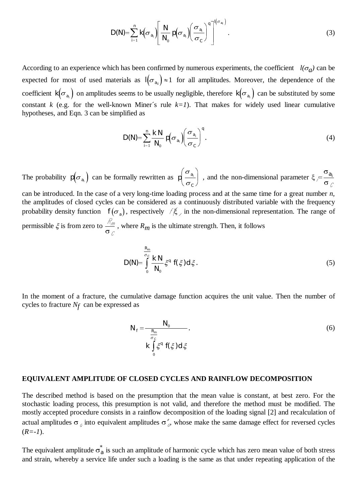$$
D(N) = \sum_{i=1}^{n} k(\sigma_{a_i}) \left[ \frac{N}{N_0} p(\sigma_{a_i}) \left( \frac{\sigma_{a_i}}{\sigma_c} \right)^q \right]^{l(\sigma_{a_i})}.
$$
 (3)

According to an experience which has been confirmed by numerous experiments, the coefficient  $l(\sigma_q)$  can be expected for most of used materials as  $I(\sigma_{a_{ii}}) \approx 1$  for all amplitudes. Moreover, the dependence of the coefficient  $k(\sigma_{a_i})$  on amplitudes seems to be usually negligible, therefore  $k(\sigma_{a_i})$  can be substituted by some constant *k* (e.g. for the well-known Miner's rule  $k=1$ ). That makes for widely used linear cumulative hypotheses, and Eqn. 3 can be simplified as

$$
D(N) = \sum_{i=1}^{n} \frac{k N}{N_0} p(\sigma_{a_i}) \left(\frac{\sigma_{a_i}}{\sigma_c}\right)^q.
$$
 (4)

The probability  $p(\sigma_{a_i})$  can be formally rewritten as  $p\left(\frac{\sigma_{a_i}}{\sigma_c}\right)$  $\sigma_{a_i}$  $\sigma$ §  $\setminus$  $\left(\begin{array}{c}\sigma_{_{\boldsymbol{a}_i}}\ \hline \end{array}\right)$ ¹ , and the non-dimensional parameter  $\xi$  $=\frac{\sigma_{a_i}}{\sigma_{\ell}}$ can be introduced. In the case of a very long-time loading process and at the same time for a great number *n*, the amplitudes of closed cycles can be considered as a continuously distributed variable with the frequency probability density function  $f(\sigma_a)$ , respectively  $\ell \xi$  in the non-dimensional representation. The range of permissible  $\xi$  is from zero to  $\frac{\partial \mathcal{L}}{\partial \mathcal{L}}$ , where  $R_m$  is the ultimate strength. Then, it follows

$$
D(N) = \int_{0}^{\frac{R_m}{\sigma_c}} \frac{kN}{N_0} \xi^q f(\xi) d\xi.
$$
 (5)

In the moment of a fracture, the cumulative damage function acquires the unit value. Then the number of cycles to fracture *Nf* can be expressed as

$$
N_f = \frac{N_0}{\sum_{\substack{\sigma \\ \sigma \\ \sigma \\ \sigma}} \xi^q f(\xi) d\xi}.
$$
\n(6)

#### **EQUIVALENT AMPLITUDE OF CLOSED CYCLES AND RAINFLOW DECOMPOSITION**

The described method is based on the presumption that the mean value is constant, at best zero. For the stochastic loading process, this presumption is not valid, and therefore the method must be modified. The mostly accepted procedure consists in a rainflow decomposition of the loading signal [2] and recalculation of actual amplitudes  $\sigma_{\rho}$  into equivalent amplitudes  $\sigma_{\rho}^*$ , whose make the same damage effect for reversed cycles  $(R=-1)$ .

The equivalent amplitude  $\sigma_{a}^{*}$  is such an amplitude of harmonic cycle which has zero mean value of both stress and strain, whereby a service life under such a loading is the same as that under repeating application of the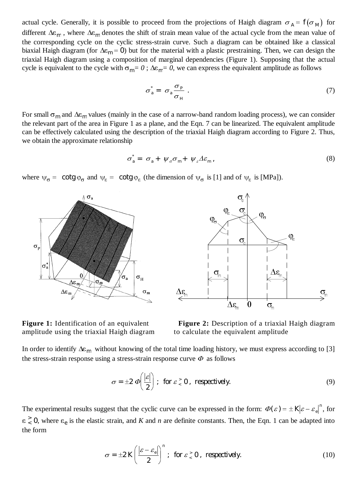actual cycle. Generally, it is possible to proceed from the projections of Haigh diagram  $\sigma_A = f(\sigma_M)$  for different  $\Delta \varepsilon_m$ , where  $\Delta \varepsilon_m$  denotes the shift of strain mean value of the actual cycle from the mean value of the corresponding cycle on the cyclic stress-strain curve. Such a diagram can be obtained like a classical biaxial Haigh diagram (for  $\Delta \epsilon_m = 0$ ) but for the material with a plastic prestraining. Then, we can design the triaxial Haigh diagram using a composition of marginal dependencies (Figure 1). Supposing that the actual cycle is equivalent to the cycle with  $\sigma_{m} = 0$ ;  $\Delta \varepsilon_{m} = 0$ , we can express the equivalent amplitude as follows

$$
\sigma_a^* = \sigma_a \frac{\sigma_p}{\sigma_H} \tag{7}
$$

For small  $\sigma_m$  and  $\Delta \varepsilon_m$  values (mainly in the case of a narrow-band random loading process), we can consider the relevant part of the area in Figure 1 as a plane, and the Eqn. 7 can be linearized. The equivalent amplitude can be effectively calculated using the description of the triaxial Haigh diagram according to Figure 2. Thus, we obtain the approximate relationship

$$
\sigma_{a}^{*} = \sigma_{a} + \psi_{\sigma} \sigma_{m} + \psi_{\varepsilon} \Delta \varepsilon_{m}, \qquad (8)
$$

where  $\Psi_{\sigma} = \cot g \varphi_{\sigma}$  and  $\Psi_{\varepsilon} = \cot g \varphi_{\varepsilon}$  (the dimension of  $\Psi_{\sigma}$  is [1] and of  $\Psi_{\varepsilon}$  is [MPa]).



amplitude using the triaxial Haigh diagram to calculate the equivalent amplitude



**Figure 1:** Identification of an equivalent **Figure 2:** Description of a triaxial Haigh diagram

In order to identify  $\Delta \varepsilon_m$  without knowing of the total time loading history, we must express according to [3] the stress-strain response using a stress-strain response curve  $\Phi$  as follows

$$
\sigma = \pm 2 \varPhi\left(\frac{|\varepsilon|}{2}\right); \text{ for } \varepsilon \, \text{ is 0, respectively.}
$$

The experimental results suggest that the cyclic curve can be expressed in the form:  $\Phi(\varepsilon) = \pm |K| \varepsilon - \varepsilon_e|^n$ , for  $\epsilon < 0$ , where  $\epsilon_e$  is the elastic strain, and *K* and *n* are definite constants. Then, the Eqn. 1 can be adapted into the form

$$
\sigma = \pm 2K \left( \frac{|\varepsilon - \varepsilon_e|}{2} \right)^n ; \text{ for } \varepsilon \,^> \, 0, \text{ respectively.}
$$
 (10)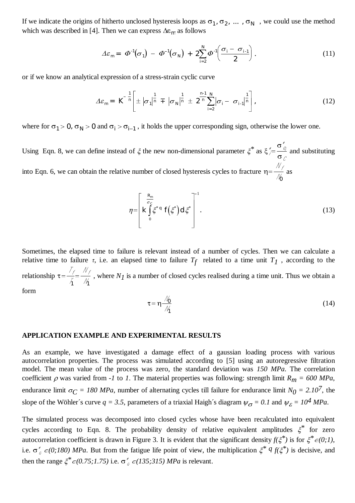If we indicate the origins of hitherto unclosed hysteresis loops as  $\sigma_1$ ,  $\sigma_2$ , ...,  $\sigma_N$ , we could use the method which was described in [4]. Then we can express  $\Delta \varepsilon_m$  as follows<br> $\Delta \varepsilon_m = \Phi^{-1}(\sigma_1) - \Phi^{-1}(\sigma_N) + 2$ which was described in [4]. Then we can express  $\Delta \varepsilon_m$  as follows

$$
\Delta \varepsilon_m = \Phi^{-1}(\sigma_1) - \Phi^{-1}(\sigma_N) + 2 \sum_{i=2}^N \Phi^{-1} \left( \frac{\sigma_i - \sigma_{i-1}}{2} \right). \tag{11}
$$

or if we know an analytical expression of a stress-strain cyclic curve

al expression of a stress-strain cyclic curve  
\n
$$
\Delta \varepsilon_m = \overline{\mathbf{K}}^{-\frac{1}{n}} \left[ \pm |\sigma_1|^{\frac{1}{n}} \mp |\sigma_N|^{\frac{1}{n}} \pm \overline{2}^{\frac{n-1}{n}} \sum_{i=2}^N |\sigma_i - \sigma_{i-1}|^{\frac{1}{n}} \right],
$$
\n(12)

where for  $\sigma_1 > 0$ ,  $\sigma_N > 0$  and  $\sigma_i > \sigma_{i-1}$ , it holds the upper corresponding sign, otherwise the lower one.

Using Eqn. 8, we can define instead of  $\xi$  the new non-dimensional parameter  $\xi^*$  as  $\xi$  $\sigma$  $=\frac{\partial y}{\partial z}$  and substituting into Eqn. 6, we can obtain the relative number of closed hysteresis cycles to fracture  $\eta =$ *0* as

$$
\eta = \left[ \frac{R_m}{K} \int\limits_0^{\sigma_c} \xi^* q \, f(\xi^*) d\xi^* \right]^{-1} . \tag{13}
$$

Sometimes, the elapsed time to failure is relevant instead of a number of cycles. Then we can calculate a relative time to failure  $\tau$ , i.e. an elapsed time to failure  $T_f$  related to a time unit  $T_f$ , according to the relationship  $\tau =$  $\gamma_1$   $\gamma_1$ , where *N1* is a number of closed cycles realised during a time unit. Thus we obtain a

form

$$
\tau = \eta \frac{\mathcal{N}_0}{\mathcal{N}_1} \tag{14}
$$

#### **APPLICATION EXAMPLE AND EXPERIMENTAL RESULTS**

As an example, we have investigated a damage effect of a gaussian loading process with various autocorrelation properties. The process was simulated according to [5] using an autoregressive filtration model. The mean value of the process was zero, the standard deviation was *150 MPa*. The correlation coefficient  $\rho$  was varied from *-1* to *1*. The material properties was following: strength limit  $R_m = 600 MPa$ , endurance limit  $\sigma_C = 180 \text{ MPa}$ , number of alternating cycles till failure for endurance limit  $N_0 = 2.10^7$ , the slope of the Wöhler's curve  $q = 3.5$ , parameters of a triaxial Haigh's diagram  $\psi_{\sigma} = 0.1$  and  $\psi_{\varepsilon} = 10^4$  MPa.

The simulated process was decomposed into closed cycles whose have been recalculated into equivalent cycles according to Eqn. 8. The probability density of relative equivalent amplitudes  $\xi^*$  for zero autocorrelation coefficient is drawn in Figure 3. It is evident that the significant density  $f(\xi^*)$  is for  $\xi^* \in (0,1)$ , i.e.  $\sigma^*_{\alpha} \in (0.180)$  MPa. But from the fatigue life point of view, the multiplication  $\xi^* q f(\xi^*)$  is decisive, and then the range  $\xi^* \in (0.75; 1.75)$  i.e.  $\sigma^*_{\sigma} \in (135; 315)$  *MPa* is relevant.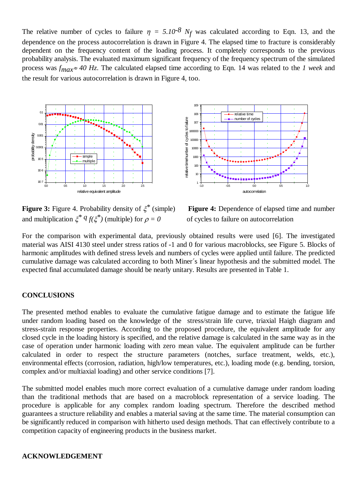The relative number of cycles to failure  $\eta = 5.10^{-8}$  N<sub>f</sub> was calculated according to Eqn. 13, and the dependence on the process autocorrelation is drawn in Figure 4. The elapsed time to fracture is considerably dependent on the frequency content of the loading process. It completely corresponds to the previous probability analysis. The evaluated maximum significant frequency of the frequency spectrum of the simulated process was  $f_{max} \approx 40$  Hz. The calculated elapsed time according to Eqn. 14 was related to the *1 week* and the result for various autocorrelation is drawn in Figure 4, too.



**Figure 3:** Figure 4. Probability density of  $\xi^*$  (simple) **Figure 4:** Dependence of elapsed time and number and multiplication  $\xi^* q f(\xi^*)$  (multiple) for  $\rho = 0$  of cycles to failure on autocorrelation



For the comparison with experimental data, previously obtained results were used [6]. The investigated material was AISI 4130 steel under stress ratios of -1 and 0 for various macroblocks, see Figure 5. Blocks of harmonic amplitudes with defined stress levels and numbers of cycles were applied until failure. The predicted cumulative damage was calculated according to both Miner´s linear hypothesis and the submitted model. The expected final accumulated damage should be nearly unitary. Results are presented in Table 1.

### **CONCLUSIONS**

The presented method enables to evaluate the cumulative fatigue damage and to estimate the fatigue life under random loading based on the knowledge of the stress/strain life curve, triaxial Haigh diagram and stress-strain response properties. According to the proposed procedure, the equivalent amplitude for any closed cycle in the loading history is specified, and the relative damage is calculated in the same way as in the case of operation under harmonic loading with zero mean value. The equivalent amplitude can be further calculated in order to respect the structure parameters (notches, surface treatment, welds, etc.), environmental effects (corrosion, radiation, high/low temperatures, etc.), loading mode (e.g. bending, torsion, complex and/or multiaxial loading) and other service conditions [7].

The submitted model enables much more correct evaluation of a cumulative damage under random loading than the traditional methods that are based on a macroblock representation of a service loading. The procedure is applicable for any complex random loading spectrum. Therefore the described method guarantees a structure reliability and enables a material saving at the same time. The material consumption can be significantly reduced in comparison with hitherto used design methods. That can effectively contribute to a competition capacity of engineering products in the business market.

#### **ACKNOWLEDGEMENT**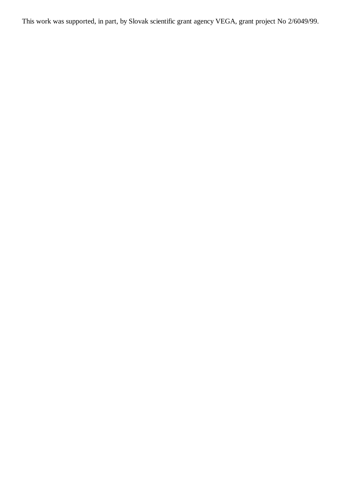This work was supported, in part, by Slovak scientific grant agency VEGA, grant project No 2/6049/99.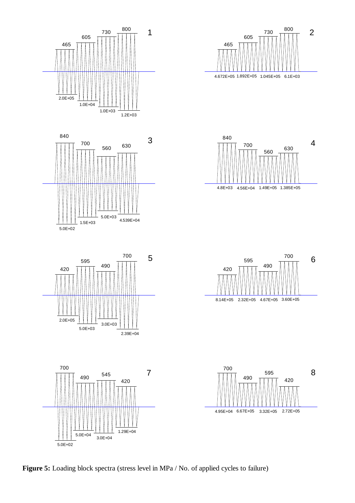

Figure 5: Loading block spectra (stress level in MPa / No. of applied cycles to failure)